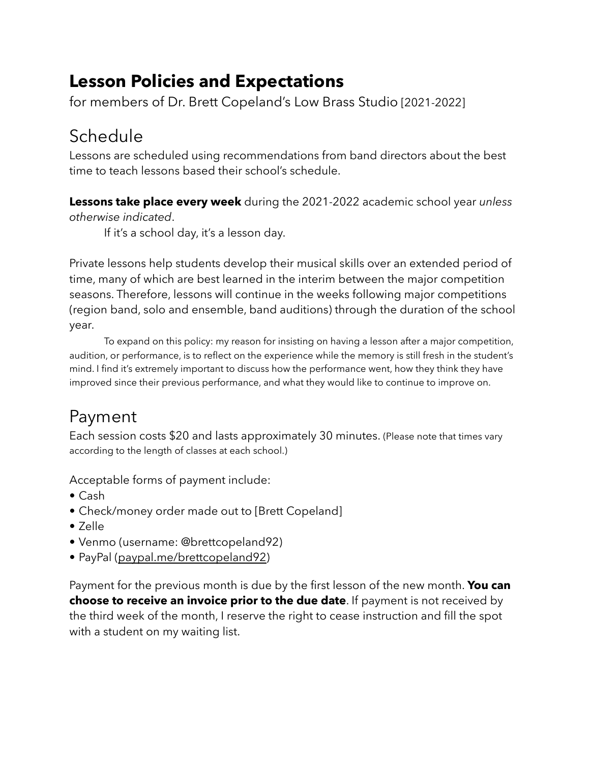### **Lesson Policies and Expectations**

for members of Dr. Brett Copeland's Low Brass Studio [2021-2022]

# Schedule

Lessons are scheduled using recommendations from band directors about the best time to teach lessons based their school's schedule.

**Lessons take place every week** during the 2021-2022 academic school year *unless otherwise indicated*.

If it's a school day, it's a lesson day.

Private lessons help students develop their musical skills over an extended period of time, many of which are best learned in the interim between the major competition seasons. Therefore, lessons will continue in the weeks following major competitions (region band, solo and ensemble, band auditions) through the duration of the school year.

To expand on this policy: my reason for insisting on having a lesson after a major competition, audition, or performance, is to reflect on the experience while the memory is still fresh in the student's mind. I find it's extremely important to discuss how the performance went, how they think they have improved since their previous performance, and what they would like to continue to improve on.

# Payment

Each session costs \$20 and lasts approximately 30 minutes. (Please note that times vary according to the length of classes at each school.)

Acceptable forms of payment include:

- Cash
- Check/money order made out to [Brett Copeland]
- Zelle
- Venmo (username: @brettcopeland92)
- PayPal ([paypal.me/brettcopeland92](http://paypal.me/brettcopeland92))

Payment for the previous month is due by the first lesson of the new month. **You can choose to receive an invoice prior to the due date**. If payment is not received by the third week of the month, I reserve the right to cease instruction and fill the spot with a student on my waiting list.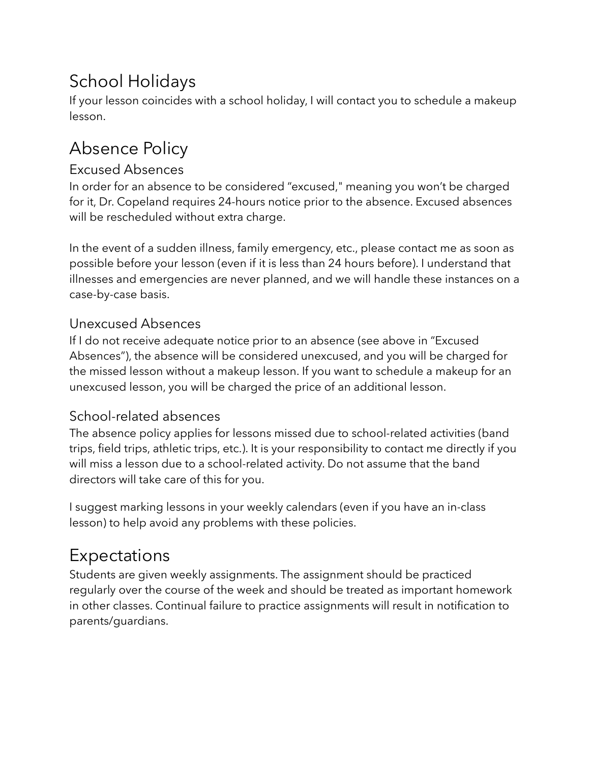# School Holidays

If your lesson coincides with a school holiday, I will contact you to schedule a makeup lesson.

# Absence Policy

#### Excused Absences

In order for an absence to be considered "excused," meaning you won't be charged for it, Dr. Copeland requires 24-hours notice prior to the absence. Excused absences will be rescheduled without extra charge.

In the event of a sudden illness, family emergency, etc., please contact me as soon as possible before your lesson (even if it is less than 24 hours before). I understand that illnesses and emergencies are never planned, and we will handle these instances on a case-by-case basis.

#### Unexcused Absences

If I do not receive adequate notice prior to an absence (see above in "Excused Absences"), the absence will be considered unexcused, and you will be charged for the missed lesson without a makeup lesson. If you want to schedule a makeup for an unexcused lesson, you will be charged the price of an additional lesson.

#### School-related absences

The absence policy applies for lessons missed due to school-related activities (band trips, field trips, athletic trips, etc.). It is your responsibility to contact me directly if you will miss a lesson due to a school-related activity. Do not assume that the band directors will take care of this for you.

I suggest marking lessons in your weekly calendars (even if you have an in-class lesson) to help avoid any problems with these policies.

### Expectations

Students are given weekly assignments. The assignment should be practiced regularly over the course of the week and should be treated as important homework in other classes. Continual failure to practice assignments will result in notification to parents/guardians.